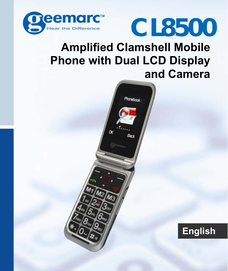

# **CL8500**

#### **Amplified Clamshell Mobile Phone with Dual LCD Display and Camera**

Phonebook

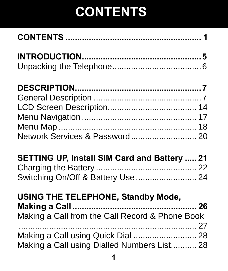| Network Services & Password 20                      |  |
|-----------------------------------------------------|--|
| <b>SETTING UP, Install SIM Card and Battery  21</b> |  |
|                                                     |  |
| Switching On/Off & Battery Use  24                  |  |
| <b>USING THE TELEPHONE, Standby Mode,</b>           |  |
|                                                     |  |
| Making a Call from the Call Record & Phone Book     |  |
| Making a Call using Quick Dial  28                  |  |
| Making a Call using Dialled Numbers List 28         |  |
|                                                     |  |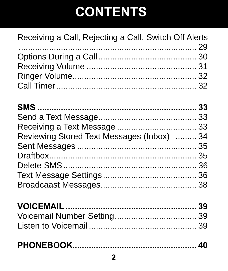#### Receiving a Call, Rejecting a Call, Switch Off Alerts

| Reviewing Stored Text Messages (Inbox)  34 |  |
|--------------------------------------------|--|
|                                            |  |
|                                            |  |
|                                            |  |
|                                            |  |
|                                            |  |
|                                            |  |

|--|--|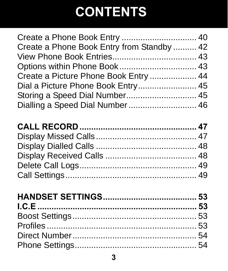| Create a Phone Book Entry from Standby  42 |  |
|--------------------------------------------|--|
|                                            |  |
|                                            |  |
| Create a Picture Phone Book Entry  44      |  |
| Dial a Picture Phone Book Entry 45         |  |
| Storing a Speed Dial Number 45             |  |
| Dialling a Speed Dial Number  46           |  |
|                                            |  |
|                                            |  |
|                                            |  |
|                                            |  |
|                                            |  |
|                                            |  |
|                                            |  |
|                                            |  |
|                                            |  |
|                                            |  |
|                                            |  |
|                                            |  |
|                                            |  |
|                                            |  |
|                                            |  |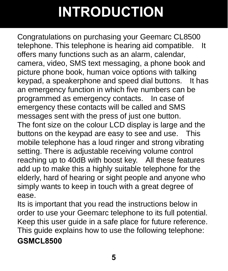### **INTRODUCTION**

Congratulations on purchasing your Geemarc CL8500 telephone. This telephone is hearing aid compatible. It offers many functions such as an alarm, calendar, camera, video, SMS text messaging, a phone book and picture phone book, human voice options with talking keypad, a speakerphone and speed dial buttons. It has an emergency function in which five numbers can be programmed as emergency contacts. In case of emergency these contacts will be called and SMS messages sent with the press of just one button. The font size on the colour LCD display is large and the buttons on the keypad are easy to see and use. This mobile telephone has a loud ringer and strong vibrating setting. There is adjustable receiving volume control reaching up to 40dB with boost key. All these features add up to make this a highly suitable telephone for the elderly, hard of hearing or sight people and anyone who simply wants to keep in touch with a great degree of ease.

Its is important that you read the instructions below in order to use your Geemarc telephone to its full potential. Keep this user guide in a safe place for future reference. This guide explains how to use the following telephone: **GSMCL8500**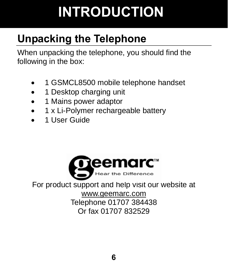## **INTRODUCTION**

### **Unpacking the Telephone**

When unpacking the telephone, you should find the following in the box:

- 1 GSMCL8500 mobile telephone handset
- 1 Desktop charging unit
- 1 Mains power adaptor
- 1 x Li-Polymer rechargeable battery
- 1 User Guide



For product support and help visit our website at

www.geemarc.com Telephone 01707 384438 Or fax 01707 832529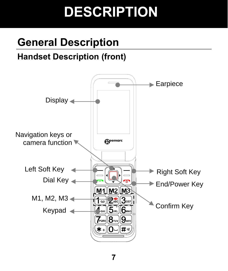### **General Description**

#### **Handset Description (front)**

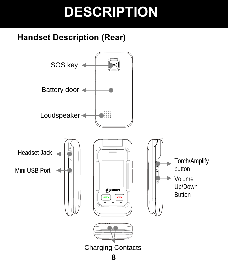#### **Handset Description (Rear)**

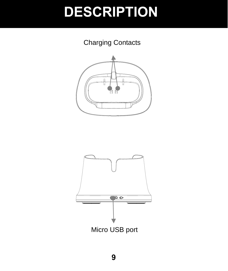Charging Contacts



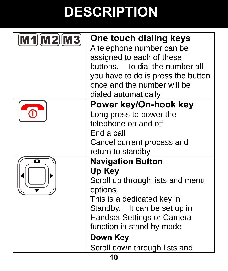| $[M1]$ $[M2]$ $[M3]$ | One touch dialing keys<br>A telephone number can be |
|----------------------|-----------------------------------------------------|
|                      | assigned to each of these                           |
|                      | buttons. To dial the number all                     |
|                      | you have to do is press the button                  |
|                      | once and the number will be                         |
|                      | dialed automatically                                |
|                      | Power key/On-hook key                               |
|                      | Long press to power the                             |
|                      | telephone on and off                                |
|                      | End a call                                          |
|                      | Cancel current process and                          |
|                      | return to standby                                   |
| ο                    | <b>Navigation Button</b>                            |
|                      | Up Key                                              |
|                      | Scroll up through lists and menu                    |
|                      | options.                                            |
|                      | This is a dedicated key in                          |
|                      | Standby. It can be set up in                        |
|                      | <b>Handset Settings or Camera</b>                   |
|                      | function in stand by mode                           |
|                      | Down Key                                            |
|                      | Scroll down through lists and                       |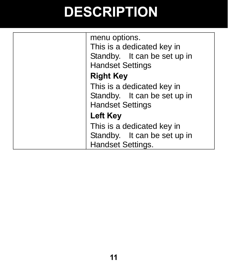| menu options.<br>This is a dedicated key in<br>Standby. It can be set up in<br><b>Handset Settings</b> |
|--------------------------------------------------------------------------------------------------------|
|                                                                                                        |
| <b>Right Key</b>                                                                                       |
| This is a dedicated key in                                                                             |
| Standby. It can be set up in                                                                           |
| <b>Handset Settings</b>                                                                                |
| Left Key                                                                                               |
| This is a dedicated key in                                                                             |
| Standby. It can be set up in                                                                           |
| Handset Settings.                                                                                      |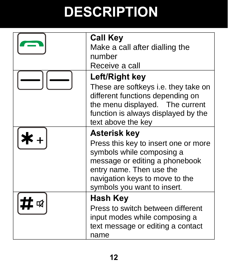| <b>Call Key</b><br>Make a call after dialling the<br>number<br>Receive a call                                                                                                                                    |
|------------------------------------------------------------------------------------------------------------------------------------------------------------------------------------------------------------------|
| Left/Right key<br>These are softkeys i.e. they take on<br>different functions depending on<br>the menu displayed. The current<br>function is always displayed by the<br>text above the key                       |
| Asterisk key<br>Press this key to insert one or more<br>symbols while composing a<br>message or editing a phonebook<br>entry name. Then use the<br>navigation keys to move to the<br>symbols you want to insert. |
| Hash Key<br>Press to switch between different<br>input modes while composing a<br>text message or editing a contact<br>name                                                                                      |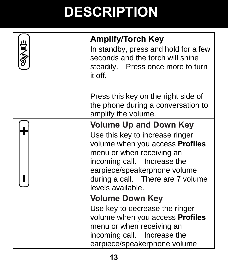| シップル | <b>Amplify/Torch Key</b><br>In standby, press and hold for a few<br>seconds and the torch will shine<br>steadily. Press once more to turn<br>it off.                                                                                                             |
|------|------------------------------------------------------------------------------------------------------------------------------------------------------------------------------------------------------------------------------------------------------------------|
|      | Press this key on the right side of<br>the phone during a conversation to<br>amplify the volume.                                                                                                                                                                 |
|      | <b>Volume Up and Down Key</b><br>Use this key to increase ringer<br>volume when you access <b>Profiles</b><br>menu or when receiving an<br>incoming call. Increase the<br>earpiece/speakerphone volume<br>during a call. There are 7 volume<br>levels available. |
|      | <b>Volume Down Key</b>                                                                                                                                                                                                                                           |
|      | Use key to decrease the ringer<br>volume when you access Profiles<br>menu or when receiving an<br>incoming call. Increase the<br>earpiece/speakerphone volume                                                                                                    |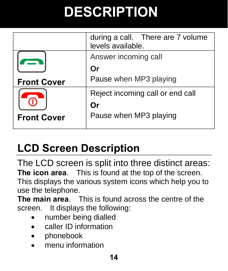|                    | during a call. There are 7 volume<br>levels available. |  |
|--------------------|--------------------------------------------------------|--|
|                    | Answer incoming call                                   |  |
|                    | Or                                                     |  |
| <b>Front Cover</b> | Pause when MP3 playing                                 |  |
|                    | Reject incoming call or end call                       |  |
|                    | Or                                                     |  |
| <b>Front Cover</b> | Pause when MP3 playing                                 |  |
|                    |                                                        |  |

#### **LCD Screen Description**

The LCD screen is split into three distinct areas: **The icon area**. This is found at the top of the screen. This displays the various system icons which help you to use the telephone.

**The main area**. This is found across the centre of the screen. It displays the following:

- number being dialled
- caller ID information
- phonebook
- menu information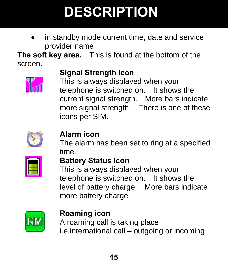in standby mode current time, date and service provider name

**The soft key area.** This is found at the bottom of the screen.



#### **Signal Strength icon**

This is always displayed when your telephone is switched on. It shows the current signal strength. More bars indicate more signal strength. There is one of these icons per SIM.



#### **Alarm icon**

The alarm has been set to ring at a specified time.



#### **Battery Status icon**

This is always displayed when your telephone is switched on. It shows the level of battery charge. More bars indicate more battery charge



#### **Roaming icon**

A roaming call is taking place i.e.international call – outgoing or incoming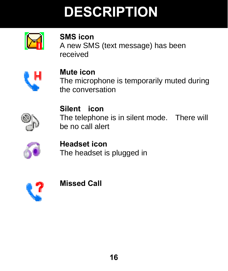

**SMS icon**  A new SMS (text message) has been received



**Mute icon**  The microphone is temporarily muted during the conversation



**Silent icon**  The telephone is in silent mode. There will be no call alert



**Headset icon**  The headset is plugged in



**Missed Call**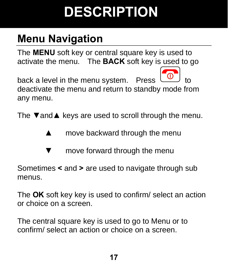### **Menu Navigation**

The **MENU** soft key or central square key is used to activate the menu. The **BACK** soft key is used to go

back a level in the menu system. Press  $\omega$  to deactivate the menu and return to standby mode from any menu.

The **▼**and**▲** keys are used to scroll through the menu.

- **▲** move backward through the menu
- move forward through the menu

Sometimes **<** and **>** are used to navigate through sub menus.

The **OK** soft key key is used to confirm/ select an action or choice on a screen.

The central square key is used to go to Menu or to confirm/ select an action or choice on a screen.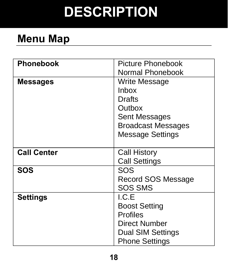#### **Menu Map**

| <b>Phonebook</b>   | Picture Phonebook         |
|--------------------|---------------------------|
|                    | Normal Phonebook          |
| <b>Messages</b>    | Write Message             |
|                    | Inbox                     |
|                    | Drafts                    |
|                    | Outbox                    |
|                    | Sent Messages             |
|                    | <b>Broadcast Messages</b> |
|                    | Message Settings          |
|                    |                           |
| <b>Call Center</b> | Call History              |
|                    | <b>Call Settings</b>      |
| SOS                | SOS                       |
|                    | Record SOS Message        |
|                    | <b>SOS SMS</b>            |
| <b>Settings</b>    | I.C.E                     |
|                    | <b>Boost Setting</b>      |
|                    | <b>Profiles</b>           |
|                    | Direct Number             |
|                    | Dual SIM Settings         |
|                    | <b>Phone Settings</b>     |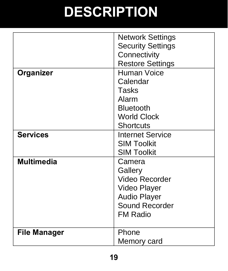|                     | Network Settings<br><b>Security Settings</b><br>Connectivity                                                    |
|---------------------|-----------------------------------------------------------------------------------------------------------------|
|                     | <b>Restore Settings</b>                                                                                         |
| Organizer           | Human Voice<br>Calendar<br>Tasks<br>Alarm<br><b>Bluetooth</b><br><b>World Clock</b><br><b>Shortcuts</b>         |
| <b>Services</b>     | Internet Service<br><b>SIM Toolkit</b><br><b>SIM Toolkit</b>                                                    |
| <b>Multimedia</b>   | Camera<br>Gallery<br>Video Recorder<br>Video Player<br><b>Audio Player</b><br>Sound Recorder<br><b>FM Radio</b> |
| <b>File Manager</b> | Phone<br>Memory card                                                                                            |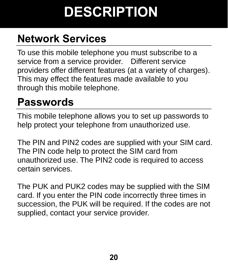#### **Network Services**

To use this mobile telephone you must subscribe to a service from a service provider. Different service providers offer different features (at a variety of charges). This may effect the features made available to you through this mobile telephone.

#### **Passwords**

This mobile telephone allows you to set up passwords to help protect your telephone from unauthorized use.

The PIN and PIN2 codes are supplied with your SIM card. The PIN code help to protect the SIM card from unauthorized use. The PIN2 code is required to access certain services.

The PUK and PUK2 codes may be supplied with the SIM card. If you enter the PIN code incorrectly three times in succession, the PUK will be required. If the codes are not supplied, contact your service provider.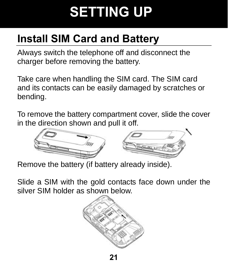#### **Install SIM Card and Battery**

Always switch the telephone off and disconnect the charger before removing the battery.

Take care when handling the SIM card. The SIM card and its contacts can be easily damaged by scratches or bending.

To remove the battery compartment cover, slide the cover in the direction shown and pull it off.



Remove the battery (if battery already inside).

Slide a SIM with the gold contacts face down under the silver SIM holder as shown below.

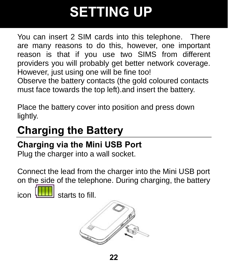You can insert 2 SIM cards into this telephone. There are many reasons to do this, however, one important reason is that if you use two SIMS from different providers you will probably get better network coverage. However, just using one will be fine too! Observe the battery contacts (the gold coloured contacts

must face towards the top left).and insert the battery.

Place the battery cover into position and press down lightly.

#### **Charging the Battery**

#### **Charging via the Mini USB Port**

Plug the charger into a wall socket.

Connect the lead from the charger into the Mini USB port on the side of the telephone. During charging, the battery

 $\frac{1}{2}$  starts to fill.

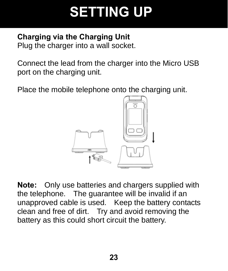#### **Charging via the Charging Unit**

Plug the charger into a wall socket.

Connect the lead from the charger into the Micro USB port on the charging unit.

Place the mobile telephone onto the charging unit.



**Note:** Only use batteries and chargers supplied with the telephone. The guarantee will be invalid if an unapproved cable is used. Keep the battery contacts clean and free of dirt. Try and avoid removing the battery as this could short circuit the battery.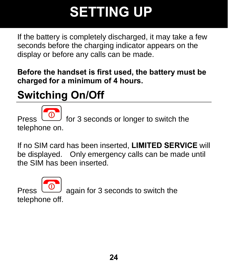If the battery is completely discharged, it may take a few seconds before the charging indicator appears on the display or before any calls can be made.

**Before the handset is first used, the battery must be charged for a minimum of 4 hours.**

#### **Switching On/Off**

for 3 seconds or longer to switch the telephone on.

If no SIM card has been inserted, **LIMITED SERVICE** will be displayed. Only emergency calls can be made until the SIM has been inserted.

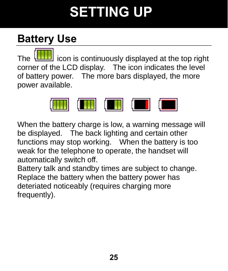#### **Battery Use**

The **interest in the interest of the top right** corner of the LCD display. The icon indicates the level of battery power. The more bars displayed, the more power available.



When the battery charge is low, a warning message will be displayed. The back lighting and certain other functions may stop working. When the battery is too weak for the telephone to operate, the handset will automatically switch off.

Battery talk and standby times are subject to change. Replace the battery when the battery power has deteriated noticeably (requires charging more frequently).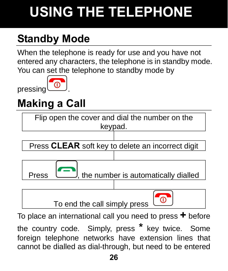### **Standby Mode**

When the telephone is ready for use and you have not entered any characters, the telephone is in standby mode. You can set the telephone to standby mode by

pressing



#### **Making a Call**



To place an international call you need to press **+** before the country code. Simply, press **\*** key twice. Some foreign telephone networks have extension lines that cannot be dialled as dial-through, but need to be entered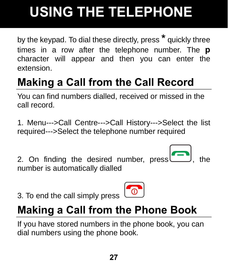by the keypad. To dial these directly, press **\*** quickly three times in a row after the telephone number. The **p** character will appear and then you can enter the extension.

### **Making a Call from the Call Record**

You can find numbers dialled, received or missed in the call record.

1. Menu--->Call Centre--->Call History--->Select the list required--->Select the telephone number required

2. On finding the desired number,  $pres$ , the number is automatically dialled

3. To end the call simply press



#### **Making a Call from the Phone Book**

If you have stored numbers in the phone book, you can dial numbers using the phone book.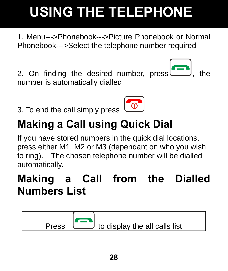1. Menu--->Phonebook--->Picture Phonebook or Normal Phonebook--->Select the telephone number required

2. On finding the desired number,  $pres$ , the number is automatically dialled

3. To end the call simply press

### **Making a Call using Quick Dial**

If you have stored numbers in the quick dial locations, press either M1, M2 or M3 (dependant on who you wish to ring). The chosen telephone number will be dialled automatically.

#### **Making a Call from the Dialled Numbers List**





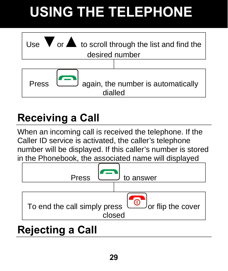

#### **Receiving a Call**

When an incoming call is received the telephone. If the Caller ID service is activated, the caller's telephone number will be displayed. If this caller's number is stored in the Phonebook, the associated name will displayed



#### **Rejecting a Call**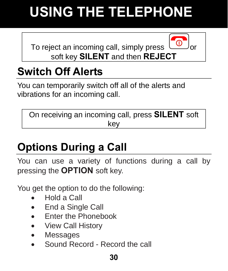To reject an incoming call, simply press soft key **SILENT** and then **REJECT**



#### **Switch Off Alerts**

You can temporarily switch off all of the alerts and vibrations for an incoming call.

On receiving an incoming call, press **SILENT** soft key

### **Options During a Call**

You can use a variety of functions during a call by pressing the **OPTION** soft key.

You get the option to do the following:

- Hold a Call
- End a Single Call
- Enter the Phonebook
- View Call History
- Messages
- Sound Record Record the call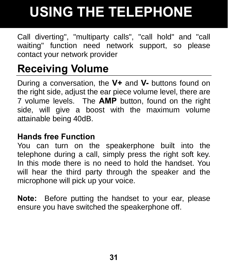Call diverting", "multiparty calls", "call hold" and "call waiting" function need network support, so please contact your network provider

#### **Receiving Volume**

During a conversation, the **V+** and **V-** buttons found on the right side, adjust the ear piece volume level, there are 7 volume levels. The **AMP** button, found on the right side, will give a boost with the maximum volume attainable being 40dB.

#### **Hands free Function**

You can turn on the speakerphone built into the telephone during a call, simply press the right soft key. In this mode there is no need to hold the handset. You will hear the third party through the speaker and the microphone will pick up your voice.

**Note:** Before putting the handset to your ear, please ensure you have switched the speakerphone off.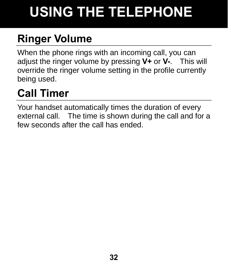### **Ringer Volume**

When the phone rings with an incoming call, you can adjust the ringer volume by pressing **V+** or **V-**. This will override the ringer volume setting in the profile currently being used.

#### **Call Timer**

Your handset automatically times the duration of every external call. The time is shown during the call and for a few seconds after the call has ended.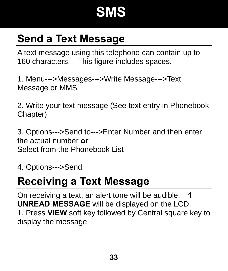### **SMS**

#### **Send a Text Message**

A text message using this telephone can contain up to 160 characters. This figure includes spaces.

1. Menu--->Messages--->Write Message--->Text Message or MMS

2. Write your text message (See text entry in Phonebook Chapter)

3. Options--->Send to--->Enter Number and then enter the actual number **or**  Select from the Phonebook List

4. Options--->Send

#### **Receiving a Text Message**

On receiving a text, an alert tone will be audible. **1 UNREAD MESSAGE** will be displayed on the LCD. 1. Press **VIEW** soft key followed by Central square key to display the message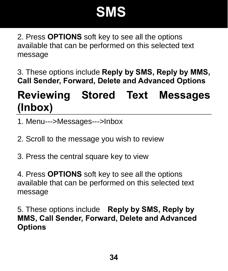### **SMS**

2. Press **OPTIONS** soft key to see all the options available that can be performed on this selected text message

3. These options include **Reply by SMS, Reply by MMS, Call Sender, Forward, Delete and Advanced Options** 

#### **Reviewing Stored Text Messages (Inbox)**

- 1. Menu--->Messages--->Inbox
- 2. Scroll to the message you wish to review
- 3. Press the central square key to view

4. Press **OPTIONS** soft key to see all the options available that can be performed on this selected text message

5. These options include **Reply by SMS, Reply by MMS, Call Sender, Forward, Delete and Advanced Options**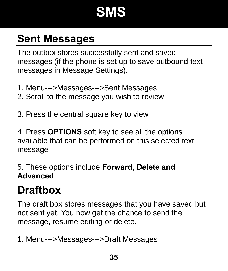### **SMS**

#### **Sent Messages**

The outbox stores successfully sent and saved messages (if the phone is set up to save outbound text messages in Message Settings).

- 1. Menu--->Messages--->Sent Messages
- 2. Scroll to the message you wish to review
- 3. Press the central square key to view

4. Press **OPTIONS** soft key to see all the options available that can be performed on this selected text message

5. These options include **Forward, Delete and Advanced**

#### **Draftbox**

The draft box stores messages that you have saved but not sent yet. You now get the chance to send the message, resume editing or delete.

1. Menu--->Messages--->Draft Messages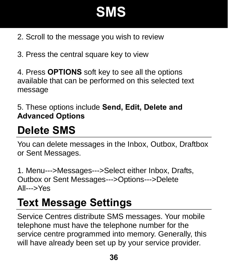## **SMS**

- 2. Scroll to the message you wish to review
- 3. Press the central square key to view

4. Press **OPTIONS** soft key to see all the options available that can be performed on this selected text message

5. These options include **Send, Edit, Delete and Advanced Options**

### **Delete SMS**

You can delete messages in the Inbox, Outbox, Draftbox or Sent Messages.

1. Menu--->Messages--->Select either Inbox, Drafts, Outbox or Sent Messages--->Options--->Delete All--->Yes

## **Text Message Settings**

Service Centres distribute SMS messages. Your mobile telephone must have the telephone number for the service centre programmed into memory. Generally, this will have already been set up by your service provider.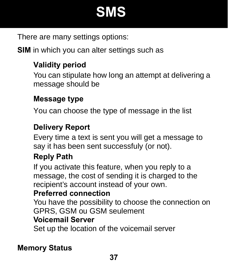## **SMS**

There are many settings options:

**SIM** in which you can alter settings such as

### **Validity period**

You can stipulate how long an attempt at delivering a message should be

#### **Message type**

You can choose the type of message in the list

### **Delivery Report**

Every time a text is sent you will get a message to say it has been sent successfuly (or not).

### **Reply Path**

If you activate this feature, when you reply to a message, the cost of sending it is charged to the recipient's account instead of your own.

#### **Preferred connection**

You have the possibility to choose the connection on GPRS, GSM ou GSM seulement **Voicemail Server** 

Set up the location of the voicemail server

#### **Memory Status**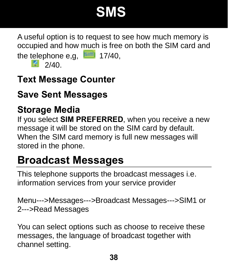## **SMS**

A useful option is to request to see how much memory is occupied and how much is free on both the SIM card and the telephone e,g,  $\boxed{=}$  17/40,

 $2/40$ 

### **Text Message Counter**

### **Save Sent Messages**

### **Storage Media**

If you select **SIM PREFERRED**, when you receive a new message it will be stored on the SIM card by default. When the SIM card memory is full new messages will stored in the phone.

### **Broadcast Messages**

This telephone supports the broadcast messages i.e. information services from your service provider

Menu--->Messages--->Broadcast Messages--->SIM1 or 2--->Read Messages

You can select options such as choose to receive these messages, the language of broadcast together with channel setting.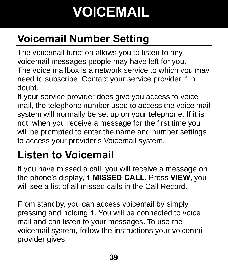# **VOICEMAIL**

## **Voicemail Number Setting**

The voicemail function allows you to listen to any voicemail messages people may have left for you. The voice mailbox is a network service to which you may need to subscribe. Contact your service provider if in doubt.

If your service provider does give you access to voice mail, the telephone number used to access the voice mail system will normally be set up on your telephone. If it is not, when you receive a message for the first time you will be prompted to enter the name and number settings to access your provider's Voicemail system.

## **Listen to Voicemail**

If you have missed a call, you will receive a message on the phone's display, **1 MISSED CALL**. Press **VIEW**, you will see a list of all missed calls in the Call Record.

From standby, you can access voicemail by simply pressing and holding **1**. You will be connected to voice mail and can listen to your messages. To use the voicemail system, follow the instructions your voicemail provider gives.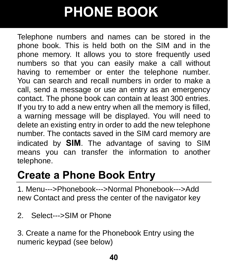Telephone numbers and names can be stored in the phone book. This is held both on the SIM and in the phone memory. It allows you to store frequently used numbers so that you can easily make a call without having to remember or enter the telephone number. You can search and recall numbers in order to make a call, send a message or use an entry as an emergency contact. The phone book can contain at least 300 entries. If you try to add a new entry when all the memory is filled, a warning message will be displayed. You will need to delete an existing entry in order to add the new telephone number. The contacts saved in the SIM card memory are indicated by **SIM**. The advantage of saving to SIM means you can transfer the information to another telephone.

### **Create a Phone Book Entry**

1. Menu--->Phonebook--->Normal Phonebook--->Add new Contact and press the center of the navigator key

2. Select--->SIM or Phone

3. Create a name for the Phonebook Entry using the numeric keypad (see below)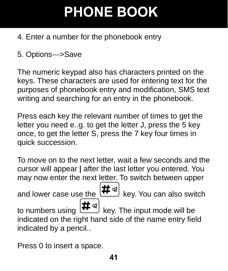- 4. Enter a number for the phonebook entry
- 5. Options--->Save

The numeric keypad also has characters printed on the keys. These characters are used for entering text for the purposes of phonebook entry and modification, SMS text writing and searching for an entry in the phonebook.

Press each key the relevant number of times to get the letter you need e..g. to get the letter J, press the 5 key once, to get the letter S, press the 7 key four times in quick succession.

To move on to the next letter, wait a few seconds and the cursor will appear **|** after the last letter you entered. You may now enter the next letter. To switch between upper and lower case use the  $H^{(4)}$  key. You can also switch to numbers using  $\left| \frac{H}{\mu} \right|$  key. The input mode will be indicated on the right hand side of the name entry field indicated by a pencil..

Press 0 to insert a space.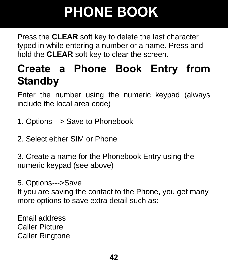Press the **CLEAR** soft key to delete the last character typed in while entering a number or a name. Press and hold the **CLEAR** soft key to clear the screen.

### **Create a Phone Book Entry from Standby**

Enter the number using the numeric keypad (always include the local area code)

- 1. Options---> Save to Phonebook
- 2. Select either SIM or Phone

3. Create a name for the Phonebook Entry using the numeric keypad (see above)

5. Options--->Save

If you are saving the contact to the Phone, you get many more options to save extra detail such as:

Email address Caller Picture Caller Ringtone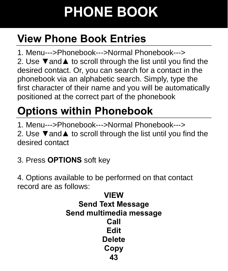## **View Phone Book Entries**

1. Menu--->Phonebook--->Normal Phonebook---> 2. Use **▼**and**▲** to scroll through the list until you find the desired contact. Or, you can search for a contact in the phonebook via an alphabetic search. Simply, type the first character of their name and you will be automatically positioned at the correct part of the phonebook

## **Options within Phonebook**

1. Menu--->Phonebook--->Normal Phonebook---> 2. Use **▼**and**▲** to scroll through the list until you find the desired contact

3. Press **OPTIONS** soft key

4. Options available to be performed on that contact record are as follows:

**43 VIEW Send Text Message Send multimedia message Call Edit Delete Copy**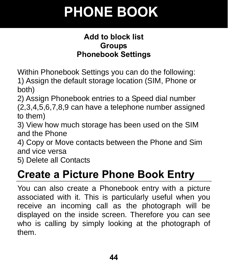#### **Add to block list Groups Phonebook Settings**

Within Phonebook Settings you can do the following: 1) Assign the default storage location (SIM, Phone or both)

2) Assign Phonebook entries to a Speed dial number (2,3,4,5,6,7,8,9 can have a telephone number assigned to them)

3) View how much storage has been used on the SIM and the Phone

4) Copy or Move contacts between the Phone and Sim and vice versa

5) Delete all Contacts

### **Create a Picture Phone Book Entry**

You can also create a Phonebook entry with a picture associated with it. This is particularly useful when you receive an incoming call as the photograph will be displayed on the inside screen. Therefore you can see who is calling by simply looking at the photograph of them.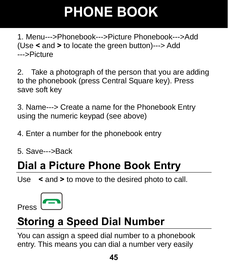1. Menu--->Phonebook--->Picture Phonebook--->Add (Use **<** and **>** to locate the green button)---> Add --->Picture

2. Take a photograph of the person that you are adding to the phonebook (press Central Square key). Press save soft key

3. Name---> Create a name for the Phonebook Entry using the numeric keypad (see above)

4. Enter a number for the phonebook entry

5. Save--->Back

## **Dial a Picture Phone Book Entry**

Use **<** and **>** to move to the desired photo to call.



## **Storing a Speed Dial Number**

You can assign a speed dial number to a phonebook entry. This means you can dial a number very easily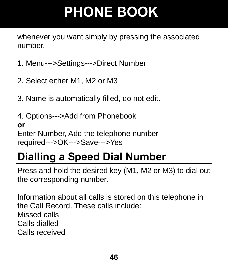whenever you want simply by pressing the associated number.

- 1. Menu--->Settings--->Direct Number
- 2. Select either M1, M2 or M3
- 3. Name is automatically filled, do not edit.
- 4. Options--->Add from Phonebook **or**  Enter Number, Add the telephone number required--->OK--->Save--->Yes

## **Dialling a Speed Dial Number**

Press and hold the desired key (M1, M2 or M3) to dial out the corresponding number.

Information about all calls is stored on this telephone in the Call Record. These calls include: Missed calls Calls dialled Calls received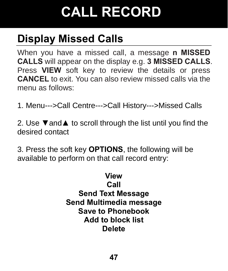## **Display Missed Calls**

When you have a missed call, a message **n MISSED CALLS** will appear on the display e.g. **3 MISSED CALLS**. Press **VIEW** soft key to review the details or press **CANCEL** to exit. You can also review missed calls via the menu as follows:

1. Menu--->Call Centre--->Call History--->Missed Calls

2. Use **▼**and**▲** to scroll through the list until you find the desired contact

3. Press the soft key **OPTIONS**, the following will be available to perform on that call record entry:

> **View Call Send Text Message Send Multimedia message Save to Phonebook Add to block list Delete**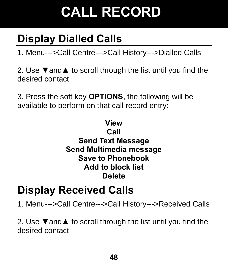## **Display Dialled Calls**

1. Menu--->Call Centre--->Call History--->Dialled Calls

2. Use **▼**and**▲** to scroll through the list until you find the desired contact

3. Press the soft key **OPTIONS**, the following will be available to perform on that call record entry:

#### **View Call Send Text Message Send Multimedia message Save to Phonebook Add to block list Delete**

### **Display Received Calls**

1. Menu--->Call Centre--->Call History--->Received Calls

2. Use **▼**and**▲** to scroll through the list until you find the desired contact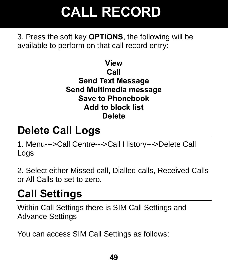3. Press the soft key **OPTIONS**, the following will be available to perform on that call record entry:

> **View Call Send Text Message Send Multimedia message Save to Phonebook Add to block list Delete**

### **Delete Call Logs**

1. Menu--->Call Centre--->Call History--->Delete Call Logs

2. Select either Missed call, Dialled calls, Received Calls or All Calls to set to zero.

### **Call Settings**

Within Call Settings there is SIM Call Settings and Advance Settings

You can access SIM Call Settings as follows: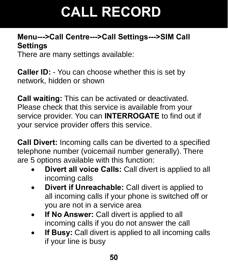#### **Menu--->Call Centre--->Call Settings--->SIM Call Settings**

There are many settings available:

**Caller ID:** - You can choose whether this is set by network, hidden or shown

**Call waiting:** This can be activated or deactivated. Please check that this service is available from your service provider. You can **INTERROGATE** to find out if your service provider offers this service.

**Call Divert:** Incoming calls can be diverted to a specified telephone number (voicemail number generally). There are 5 options available with this function:

- **Divert all voice Calls:** Call divert is applied to all incoming calls
- **Divert if Unreachable:** Call divert is applied to all incoming calls if your phone is switched off or you are not in a service area
- **If No Answer:** Call divert is applied to all incoming calls if you do not answer the call
- **If Busy:** Call divert is applied to all incoming calls if your line is busy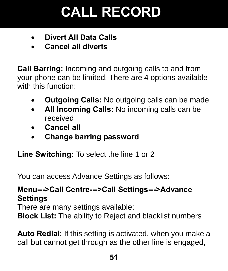- **Divert All Data Calls**
- **Cancel all diverts**

**Call Barring:** Incoming and outgoing calls to and from your phone can be limited. There are 4 options available with this function:

- **Outgoing Calls:** No outgoing calls can be made
- **All Incoming Calls:** No incoming calls can be received
- **Cancel all**
- **Change barring password**

**Line Switching:** To select the line 1 or 2

You can access Advance Settings as follows:

#### **Menu--->Call Centre--->Call Settings--->Advance Settings**

There are many settings available:

**Block List:** The ability to Reject and blacklist numbers

**Auto Redial:** If this setting is activated, when you make a call but cannot get through as the other line is engaged,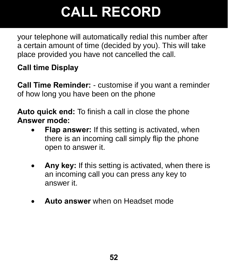your telephone will automatically redial this number after a certain amount of time (decided by you). This will take place provided you have not cancelled the call.

### **Call time Display**

**Call Time Reminder:** - customise if you want a reminder of how long you have been on the phone

**Auto quick end:** To finish a call in close the phone **Answer mode:** 

- **Flap answer:** If this setting is activated, when there is an incoming call simply flip the phone open to answer it.
- **Any key:** If this setting is activated, when there is an incoming call you can press any key to answer it.
- **Auto answer** when on Headset mode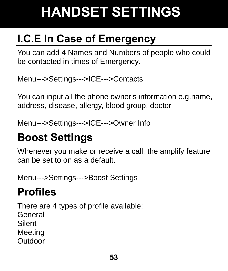## **I.C.E In Case of Emergency**

You can add 4 Names and Numbers of people who could be contacted in times of Emergency.

Menu--->Settings--->ICE--->Contacts

You can input all the phone owner's information e.g.name, address, disease, allergy, blood group, doctor

Menu--->Settings--->ICE--->Owner Info

## **Boost Settings**

Whenever you make or receive a call, the amplify feature can be set to on as a default.

Menu--->Settings--->Boost Settings

## **Profiles**

There are 4 types of profile available: General Silent Meeting **Outdoor**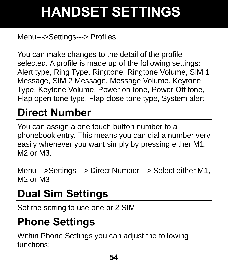### Menu--->Settings---> Profiles

You can make changes to the detail of the profile selected. A profile is made up of the following settings: Alert type, Ring Type, Ringtone, Ringtone Volume, SIM 1 Message, SIM 2 Message, Message Volume, Keytone Type, Keytone Volume, Power on tone, Power Off tone, Flap open tone type, Flap close tone type, System alert

## **Direct Number**

You can assign a one touch button number to a phonebook entry. This means you can dial a number very easily whenever you want simply by pressing either M1, M2 or M3.

Menu--->Settings---> Direct Number---> Select either M1, M2 or M3

## **Dual Sim Settings**

Set the setting to use one or 2 SIM.

### **Phone Settings**

Within Phone Settings you can adjust the following functions: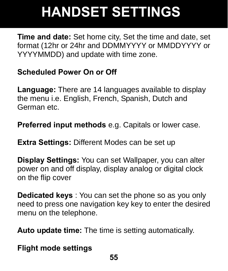**Time and date:** Set home city, Set the time and date, set format (12hr or 24hr and DDMMYYYY or MMDDYYYY or YYYYMMDD) and update with time zone.

#### **Scheduled Power On or Off**

**Language:** There are 14 languages available to display the menu i.e. English, French, Spanish, Dutch and German etc.

**Preferred input methods** e.g. Capitals or lower case.

**Extra Settings:** Different Modes can be set up

**Display Settings:** You can set Wallpaper, you can alter power on and off display, display analog or digital clock on the flip cover

**Dedicated keys** : You can set the phone so as you only need to press one navigation key key to enter the desired menu on the telephone.

**Auto update time:** The time is setting automatically.

**Flight mode settings**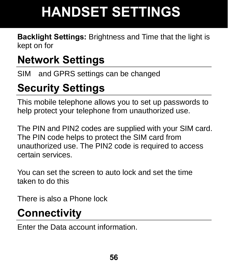**Backlight Settings:** Brightness and Time that the light is kept on for

## **Network Settings**

SIM and GPRS settings can be changed

## **Security Settings**

This mobile telephone allows you to set up passwords to help protect your telephone from unauthorized use.

The PIN and PIN2 codes are supplied with your SIM card. The PIN code helps to protect the SIM card from unauthorized use. The PIN2 code is required to access certain services.

You can set the screen to auto lock and set the time taken to do this

There is also a Phone lock

## **Connectivity**

Enter the Data account information.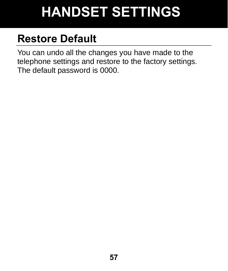## **Restore Default**

You can undo all the changes you have made to the telephone settings and restore to the factory settings. The default password is 0000.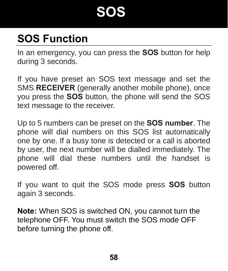## **SOS**

## **SOS Function**

In an emergency, you can press the **SOS** button for help during 3 seconds.

If you have preset an SOS text message and set the SMS **RECEIVER** (generally another mobile phone), once you press the **SOS** button, the phone will send the SOS text message to the receiver.

Up to 5 numbers can be preset on the **SOS number**. The phone will dial numbers on this SOS list automatically one by one. If a busy tone is detected or a call is aborted by user, the next number will be dialled immediately. The phone will dial these numbers until the handset is powered off.

If you want to quit the SOS mode press **SOS** button again 3 seconds.

**Note:** When SOS is switched ON, you cannot turn the telephone OFF. You must switch the SOS mode OFF before turning the phone off.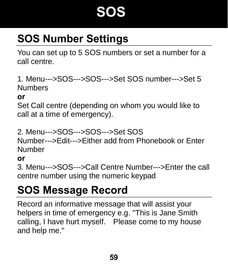## **SOS**

## **SOS Number Settings**

You can set up to 5 SOS numbers or set a number for a call centre.

1. Menu--->SOS--->SOS--->Set SOS number--->Set 5 Numbers

#### **or**

Set Call centre (depending on whom you would like to call at a time of emergency).

2. Menu--->SOS--->SOS--->Set SOS

Number--->Edit--->Either add from Phonebook or Enter Number

#### **or**

3. Menu--->SOS--->Call Centre Number--->Enter the call centre number using the numeric keypad

### **SOS Message Record**

Record an informative message that will assist your helpers in time of emergency e.g. "This is Jane Smith calling, I have hurt myself. Please come to my house and help me."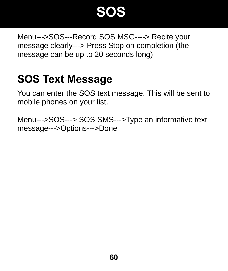## **SOS**

Menu--->SOS---Record SOS MSG----> Recite your message clearly---> Press Stop on completion (the message can be up to 20 seconds long)

### **SOS Text Message**

You can enter the SOS text message. This will be sent to mobile phones on your list.

Menu--->SOS---> SOS SMS--->Type an informative text message--->Options--->Done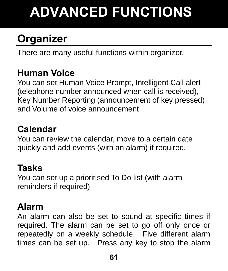# **ADVANCED FUNCTIONS**

## **Organizer**

There are many useful functions within organizer.

### **Human Voice**

You can set Human Voice Prompt, Intelligent Call alert (telephone number announced when call is received), Key Number Reporting (announcement of key pressed) and Volume of voice announcement

### **Calendar**

You can review the calendar, move to a certain date quickly and add events (with an alarm) if required.

### **Tasks**

You can set up a prioritised To Do list (with alarm reminders if required)

### **Alarm**

An alarm can also be set to sound at specific times if required. The alarm can be set to go off only once or repeatedly on a weekly schedule. Five different alarm times can be set up. Press any key to stop the alarm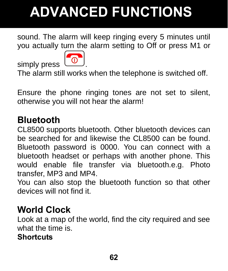# **ADVANCED FUNCTIONS**

sound. The alarm will keep ringing every 5 minutes until you actually turn the alarm setting to Off or press M1 or



The alarm still works when the telephone is switched off.

Ensure the phone ringing tones are not set to silent, otherwise you will not hear the alarm!

### **Bluetooth**

simply press

CL8500 supports bluetooth. Other bluetooth devices can be searched for and likewise the CL8500 can be found. Bluetooth password is 0000. You can connect with a bluetooth headset or perhaps with another phone. This would enable file transfer via bluetooth.e.g. Photo transfer, MP3 and MP4.

You can also stop the bluetooth function so that other devices will not find it.

### **World Clock**

Look at a map of the world, find the city required and see what the time is.

#### **Shortcuts**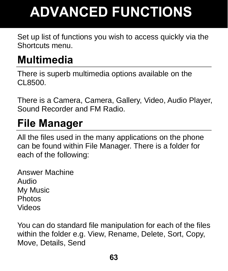# **ADVANCED FUNCTIONS**

Set up list of functions you wish to access quickly via the Shortcuts menu.

### **Multimedia**

There is superb multimedia options available on the CL8500.

There is a Camera, Camera, Gallery, Video, Audio Player, Sound Recorder and FM Radio.

## **File Manager**

All the files used in the many applications on the phone can be found within File Manager. There is a folder for each of the following:

Answer Machine Audio My Music Photos Videos

You can do standard file manipulation for each of the files within the folder e.g. View, Rename, Delete, Sort, Copy, Move, Details, Send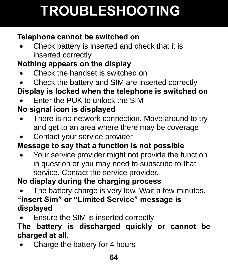# **TROUBLESHOOTING**

### **Telephone cannot be switched on**

• Check battery is inserted and check that it is inserted correctly

### **Nothing appears on the display**

- Check the handset is switched on
- Check the battery and SIM are inserted correctly

### **Display is locked when the telephone is switched on**

• Enter the PUK to unlock the SIM

### **No signal icon is displayed**

- There is no network connection. Move around to try and get to an area where there may be coverage
- Contact your service provider

### **Message to say that a function is not possible**

• Your service provider might not provide the function in question or you may need to subscribe to that service. Contact the service provider.

### **No display during the charging process**

- The battery charge is very low. Wait a few minutes. **"Insert Sim" or "Limited Service" message is displayed**
- Ensure the SIM is inserted correctly

#### **The battery is discharged quickly or cannot be charged at all.**

• Charge the battery for 4 hours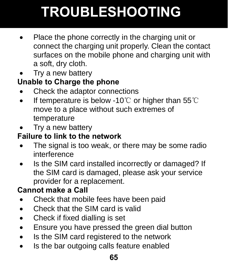# **TROUBLESHOOTING**

- Place the phone correctly in the charging unit or connect the charging unit properly. Clean the contact surfaces on the mobile phone and charging unit with a soft, dry cloth.
- Try a new battery

### **Unable to Charge the phone**

- Check the adaptor connections
- If temperature is below -10 $°C$  or higher than 55 $°C$ move to a place without such extremes of temperature
- Try a new battery

### **Failure to link to the network**

- The signal is too weak, or there may be some radio interference
- Is the SIM card installed incorrectly or damaged? If the SIM card is damaged, please ask your service provider for a replacement.

### **Cannot make a Call**

- Check that mobile fees have been paid
- Check that the SIM card is valid
- Check if fixed dialling is set
- Ensure you have pressed the green dial button
- Is the SIM card registered to the network
- Is the bar outgoing calls feature enabled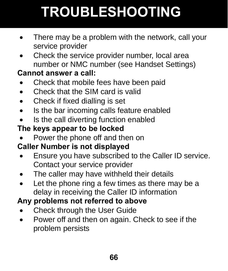# **TROUBLESHOOTING**

- There may be a problem with the network, call your service provider
- Check the service provider number, local area number or NMC number (see Handset Settings)

#### **Cannot answer a call:**

- Check that mobile fees have been paid
- Check that the SIM card is valid
- Check if fixed dialling is set
- Is the bar incoming calls feature enabled
- Is the call diverting function enabled

### **The keys appear to be locked**

• Power the phone off and then on

### **Caller Number is not displayed**

- Ensure you have subscribed to the Caller ID service. Contact your service provider
- The caller may have withheld their details
- Let the phone ring a few times as there may be a delay in receiving the Caller ID information

### **Any problems not referred to above**

- Check through the User Guide
- Power off and then on again. Check to see if the problem persists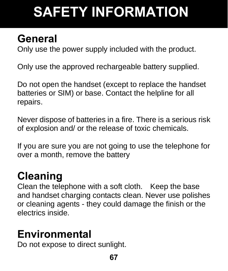# **SAFETY INFORMATION**

### **General**

Only use the power supply included with the product.

Only use the approved rechargeable battery supplied.

Do not open the handset (except to replace the handset batteries or SIM) or base. Contact the helpline for all repairs.

Never dispose of batteries in a fire. There is a serious risk of explosion and/ or the release of toxic chemicals.

If you are sure you are not going to use the telephone for over a month, remove the battery

## **Cleaning**

Clean the telephone with a soft cloth. Keep the base and handset charging contacts clean. Never use polishes or cleaning agents - they could damage the finish or the electrics inside.

## **Environmental**

Do not expose to direct sunlight.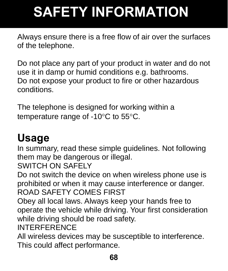# **SAFETY INFORMATION**

Always ensure there is a free flow of air over the surfaces of the telephone.

Do not place any part of your product in water and do not use it in damp or humid conditions e.g. bathrooms. Do not expose your product to fire or other hazardous conditions.

The telephone is designed for working within a temperature range of -10°C to 55°C.

## **Usage**

In summary, read these simple guidelines. Not following them may be dangerous or illegal.

SWITCH ON SAFELY

Do not switch the device on when wireless phone use is prohibited or when it may cause interference or danger. ROAD SAFETY COMES FIRST

Obey all local laws. Always keep your hands free to operate the vehicle while driving. Your first consideration while driving should be road safety.

INTERFERENCE

All wireless devices may be susceptible to interference. This could affect performance.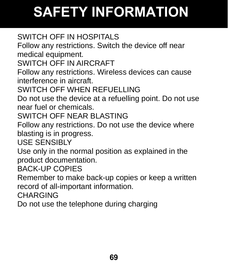# **SAFETY INFORMATION**

### SWITCH OFF IN HOSPITALS

Follow any restrictions. Switch the device off near medical equipment.

SWITCH OFF IN AIRCRAFT

Follow any restrictions. Wireless devices can cause interference in aircraft.

SWITCH OFF WHEN REFUELLING

Do not use the device at a refuelling point. Do not use near fuel or chemicals.

SWITCH OFF NEAR BLASTING

Follow any restrictions. Do not use the device where blasting is in progress.

USE SENSIBLY

Use only in the normal position as explained in the product documentation.

BACK-UP COPIES

Remember to make back-up copies or keep a written record of all-important information.

CHARGING

Do not use the telephone during charging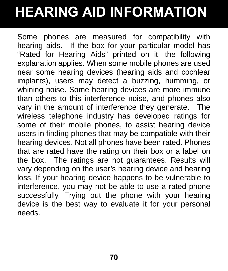# **HEARING AID INFORMATION**

Some phones are measured for compatibility with hearing aids. If the box for your particular model has "Rated for Hearing Aids" printed on it, the following explanation applies. When some mobile phones are used near some hearing devices (hearing aids and cochlear implants), users may detect a buzzing, humming, or whining noise. Some hearing devices are more immune than others to this interference noise, and phones also vary in the amount of interference they generate. The wireless telephone industry has developed ratings for some of their mobile phones, to assist hearing device users in finding phones that may be compatible with their hearing devices. Not all phones have been rated. Phones that are rated have the rating on their box or a label on the box. The ratings are not guarantees. Results will vary depending on the user's hearing device and hearing loss. If your hearing device happens to be vulnerable to interference, you may not be able to use a rated phone successfully. Trying out the phone with your hearing device is the best way to evaluate it for your personal needs.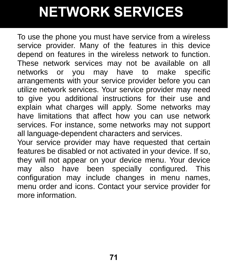## **NETWORK SERVICES**

To use the phone you must have service from a wireless service provider. Many of the features in this device depend on features in the wireless network to function. These network services may not be available on all networks or you may have to make specific arrangements with your service provider before you can utilize network services. Your service provider may need to give you additional instructions for their use and explain what charges will apply. Some networks may have limitations that affect how you can use network services. For instance, some networks may not support all language-dependent characters and services.

Your service provider may have requested that certain features be disabled or not activated in your device. If so, they will not appear on your device menu. Your device may also have been specially configured. This configuration may include changes in menu names, menu order and icons. Contact your service provider for more information.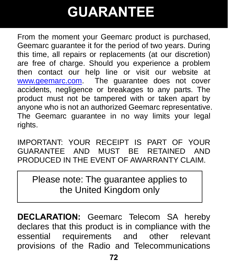## **GUARANTEE**

From the moment your Geemarc product is purchased, Geemarc guarantee it for the period of two years. During this time, all repairs or replacements (at our discretion) are free of charge. Should you experience a problem then contact our help line or visit our website at www.geemarc.com. The guarantee does not cover accidents, negligence or breakages to any parts. The product must not be tampered with or taken apart by anyone who is not an authorized Geemarc representative. The Geemarc guarantee in no way limits your legal rights.

IMPORTANT: YOUR RECEIPT IS PART OF YOUR GUARANTEE AND MUST BE RETAINED AND PRODUCED IN THE EVENT OF AWARRANTY CLAIM.

Please note: The guarantee applies to the United Kingdom only

**DECLARATION:** Geemarc Telecom SA hereby declares that this product is in compliance with the essential requirements and other relevant provisions of the Radio and Telecommunications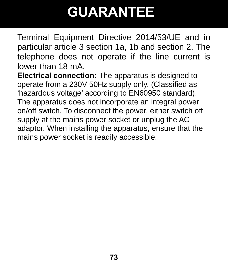## **GUARANTEE**

Terminal Equipment Directive 2014/53/UE and in particular article 3 section 1a, 1b and section 2. The telephone does not operate if the line current is lower than 18 mA.

**Electrical connection:** The apparatus is designed to operate from a 230V 50Hz supply only. (Classified as 'hazardous voltage' according to EN60950 standard). The apparatus does not incorporate an integral power on/off switch. To disconnect the power, either switch off supply at the mains power socket or unplug the AC adaptor. When installing the apparatus, ensure that the mains power socket is readily accessible.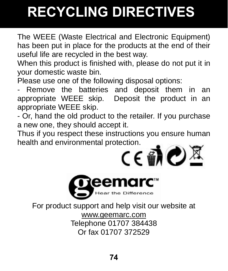## **RECYCLING DIRECTIVES**

The WEEE (Waste Electrical and Electronic Equipment) has been put in place for the products at the end of their useful life are recycled in the best way.

When this product is finished with, please do not put it in your domestic waste bin.

Please use one of the following disposal options:

Remove the batteries and deposit them in an appropriate WEEE skip. Deposit the product in an appropriate WEEE skip.

- Or, hand the old product to the retailer. If you purchase a new one, they should accept it.

Thus if you respect these instructions you ensure human health and environmental protection.<br>  $\mathsf{C}\in\mathbf{\hat{M}}$   $\bullet$   $\mathbb{\mathbb{R}}$ 



For product support and help visit our website at www.geemarc.com Telephone 01707 384438 Or fax 01707 372529